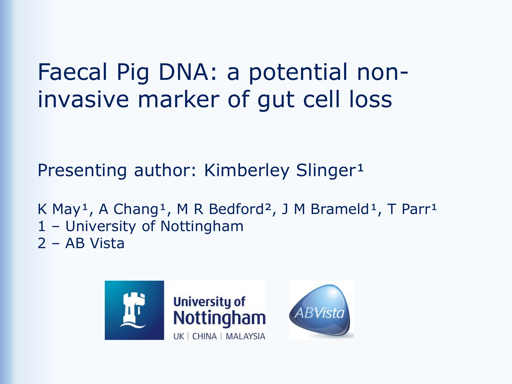### Faecal Pig DNA: a potential noninvasive marker of gut cell loss

Presenting author: Kimberley Slinger<sup>1</sup>

K May<sup>1</sup>, A Chang<sup>1</sup>, M R Bedford<sup>2</sup>, J M Brameld<sup>1</sup>, T Parr<sup>1</sup> 1 – University of Nottingham 2 – AB Vista

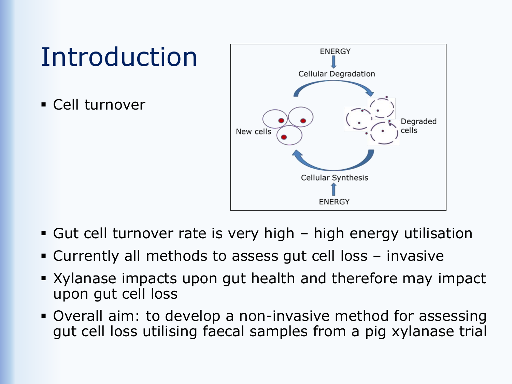## Introduction

▪ Cell turnover



- **E** Gut cell turnover rate is very high high energy utilisation
- Currently all methods to assess gut cell loss invasive
- **EXYlanase impacts upon gut health and therefore may impact** upon gut cell loss
- Overall aim: to develop a non-invasive method for assessing gut cell loss utilising faecal samples from a pig xylanase trial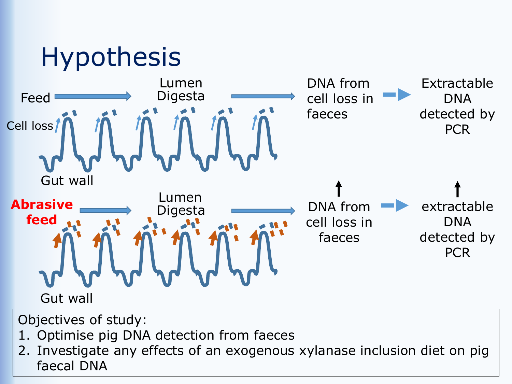

Objectives of study:

- 1. Optimise pig DNA detection from faeces
- 2. Investigate any effects of an exogenous xylanase inclusion diet on pig faecal DNA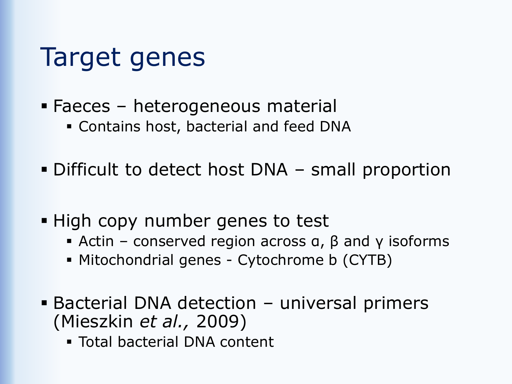## Target genes

- Faeces heterogeneous material
	- **Example 2** Contains host, bacterial and feed DNA
- Difficult to detect host DNA small proportion
- High copy number genes to test
	- **•** Actin conserved region across  $a$ ,  $\beta$  and  $\gamma$  isoforms
	- **EXECT Mitochondrial genes Cytochrome b (CYTB)**
- Bacterial DNA detection universal primers (Mieszkin *et al.,* 2009)
	- Total bacterial DNA content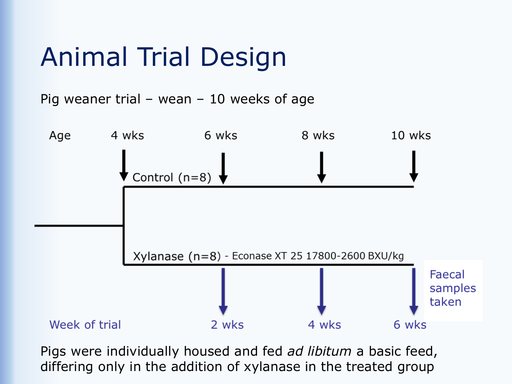# Animal Trial Design

Pig weaner trial – wean – 10 weeks of age



Pigs were individually housed and fed *ad libitum* a basic feed, differing only in the addition of xylanase in the treated group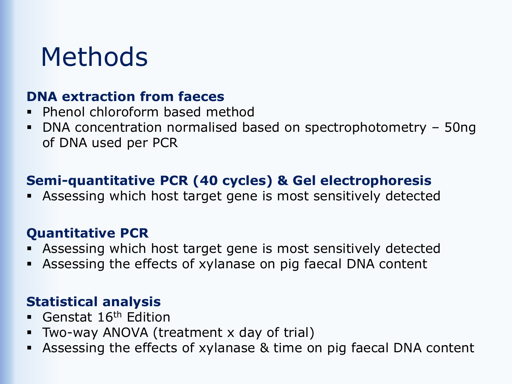### Methods

#### **DNA extraction from faeces**

- Phenol chloroform based method
- DNA concentration normalised based on spectrophotometry 50ng of DNA used per PCR

### **Semi-quantitative PCR (40 cycles) & Gel electrophoresis**

**EXE** Assessing which host target gene is most sensitively detected

#### **Quantitative PCR**

- Assessing which host target gene is most sensitively detected
- Assessing the effects of xylanase on pig faecal DNA content

#### **Statistical analysis**

- Genstat 16<sup>th</sup> Edition
- Two-way ANOVA (treatment x day of trial)
- Assessing the effects of xylanase & time on pig faecal DNA content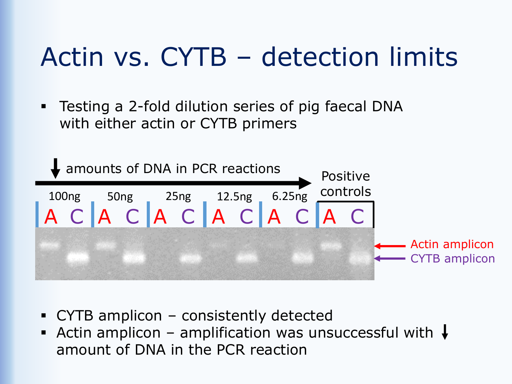## Actin vs. CYTB – detection limits

**EXECT THE TEST IN THE 2-FOLD CONCOCOL Testing a 2-fold dilution series of pig faecal DNA** with either actin or CYTB primers



- CYTB amplicon consistently detected
- **E** Actin amplicon amplification was unsuccessful with  $\downarrow$ amount of DNA in the PCR reaction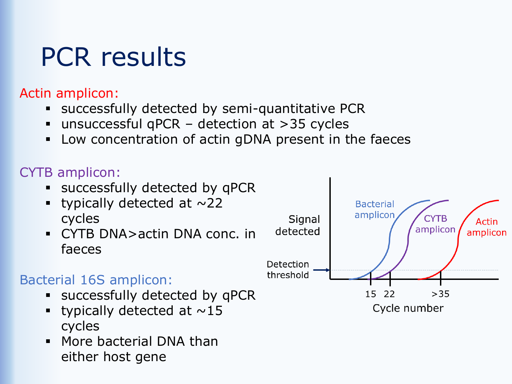# PCR results

#### Actin amplicon:

- successfully detected by semi-quantitative PCR
- unsuccessful qPCR detection at  $>35$  cycles
- Low concentration of actin gDNA present in the faeces

### CYTB amplicon:

- successfully detected by qPCR
- typically detected at  $\sim$ 22 cycles
- CYTB DNA>actin DNA conc. in faeces

### Bacterial 16S amplicon:

- **Exercessfully detected by qPCR**
- **•** typically detected at  $\sim$ 15 cycles
- **■** More bacterial DNA than either host gene

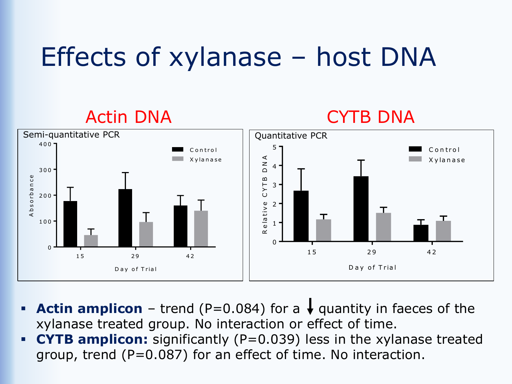## Effects of xylanase – host DNA



- **Actin amplicon** trend (P=0.084) for a  $\downarrow$  quantity in faeces of the xylanase treated group. No interaction or effect of time.
- **CYTB amplicon:** significantly (P=0.039) less in the xylanase treated group, trend (P=0.087) for an effect of time. No interaction.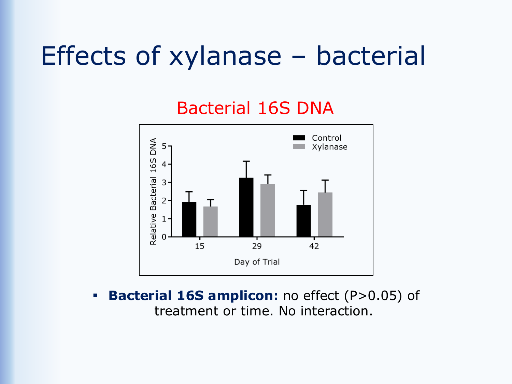### Effects of xylanase – bacterial

### Bacterial 16S DNA



**Bacterial 16S amplicon:** no effect (P>0.05) of treatment or time. No interaction.